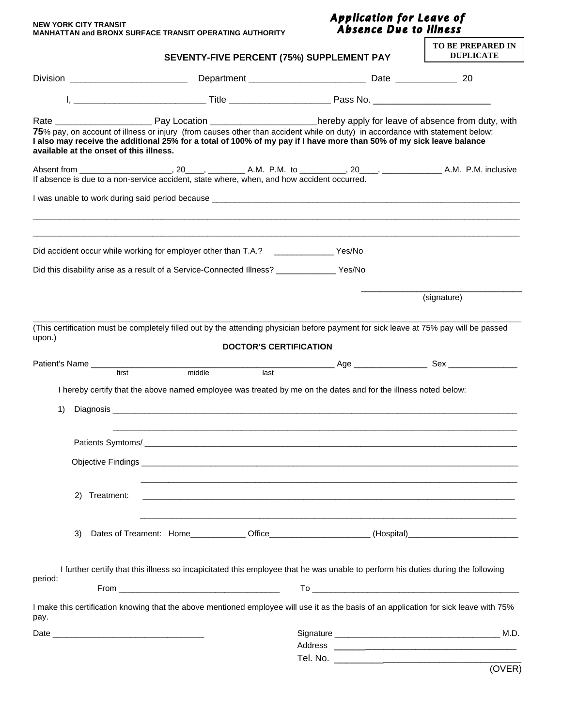| <b>NEW YORK CITY TRANSIT</b>                                   |
|----------------------------------------------------------------|
| <b>MANHATTAN and BRONX SURFACE TRANSIT OPERATING AUTHORITY</b> |

## Application for Leave of<br>Absence Due to Illness

|                                         | SEVENTY-FIVE PERCENT (75%) SUPPLEMENT PAY                                                                                                                                                                                                            | <b>TO BE PREPARED IN</b><br><b>DUPLICATE</b> |  |
|-----------------------------------------|------------------------------------------------------------------------------------------------------------------------------------------------------------------------------------------------------------------------------------------------------|----------------------------------------------|--|
|                                         |                                                                                                                                                                                                                                                      |                                              |  |
|                                         |                                                                                                                                                                                                                                                      |                                              |  |
| available at the onset of this illness. | 75% pay, on account of illness or injury (from causes other than accident while on duty) in accordance with statement below:<br>I also may receive the additional 25% for a total of 100% of my pay if I have more than 50% of my sick leave balance |                                              |  |
|                                         | If absence is due to a non-service accident, state where, when, and how accident occurred.                                                                                                                                                           |                                              |  |
|                                         |                                                                                                                                                                                                                                                      |                                              |  |
|                                         | Did accident occur while working for employer other than T.A.? _________________Yes/No                                                                                                                                                               |                                              |  |
|                                         | Did this disability arise as a result of a Service-Connected Illness? _____________ Yes/No                                                                                                                                                           |                                              |  |
|                                         |                                                                                                                                                                                                                                                      | (signature)                                  |  |
| upon.)                                  | (This certification must be completely filled out by the attending physician before payment for sick leave at 75% pay will be passed<br><b>DOCTOR'S CERTIFICATION</b>                                                                                |                                              |  |
| 1)                                      | I hereby certify that the above named employee was treated by me on the dates and for the illness noted below:                                                                                                                                       |                                              |  |
| Patients Symtoms/                       |                                                                                                                                                                                                                                                      |                                              |  |
|                                         |                                                                                                                                                                                                                                                      |                                              |  |
| 2) Treatment:                           | ,我们也不能在这里的时候,我们也不能会在这里,我们也不能会在这里的时候,我们也不能会在这里的时候,我们也不能会在这里的时候,我们也不能会在这里的时候,我们也不能                                                                                                                                                                     |                                              |  |
| 3)                                      | Dates of Treament: Home_____________Office____________________(Hospital)____________________________                                                                                                                                                 |                                              |  |
|                                         | I further certify that this illness so incapicitated this employee that he was unable to perform his duties during the following                                                                                                                     |                                              |  |
| period:                                 |                                                                                                                                                                                                                                                      |                                              |  |
| pay.                                    | I make this certification knowing that the above mentioned employee will use it as the basis of an application for sick leave with 75%                                                                                                               |                                              |  |
|                                         |                                                                                                                                                                                                                                                      |                                              |  |